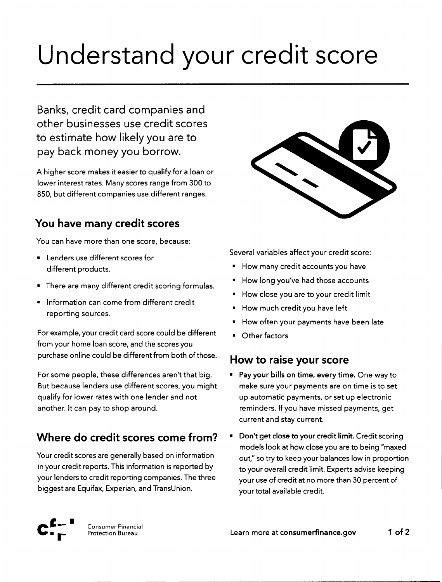# Understand your credit score

Banks, credit card companies and other businesses use credit scores to estimate how likely you are to pay back money you borrow.

A higher score makes it easier to qualify for a loan or lower interest rates. Many scores range from 300 to 850, but different companies use different ranges.

### **You have many credit scores**

You can have more than one score, because:

- Lenders use different scores for different products.
- There are many different credit scoring formulas.
- Information can come from different credit reporting sources.

For example, your credit card score could be different from your home loan score, and the scores you purchase online could be different from both of those.

For some people, these differences aren't that big. But because lenders use different scores, you might qualify for lower rates with one lender and not another. It can pay to shop around.

## **Where do credit scores come from? •** Don't get close to your credit limit. Credit scoring

Your credit scores are generally based on information inyour credit reports. This information is reported by your lenders to credit reporting companies. The three biggest are Equifax, Experian, and TransUnion.



Several variables affect your credit score:

- How many credit accounts you have
- How long you've had those accounts
- How close you are to your credit limit
- How much credit you have left
- How often your payments have been late
- Other factors

#### **How to raise your score**

- Pay your bills on time, every time. One way to make sure your payments are on time is to set up automatic payments, or set up electronic reminders. If you have missed payments, get current and stay current.
- models look at how close you are to being "maxed out," sotry to keep your balances low in proportion to your overall credit limit. Experts advise keeping your use of credit at no more than 30 percent of your total available credit.